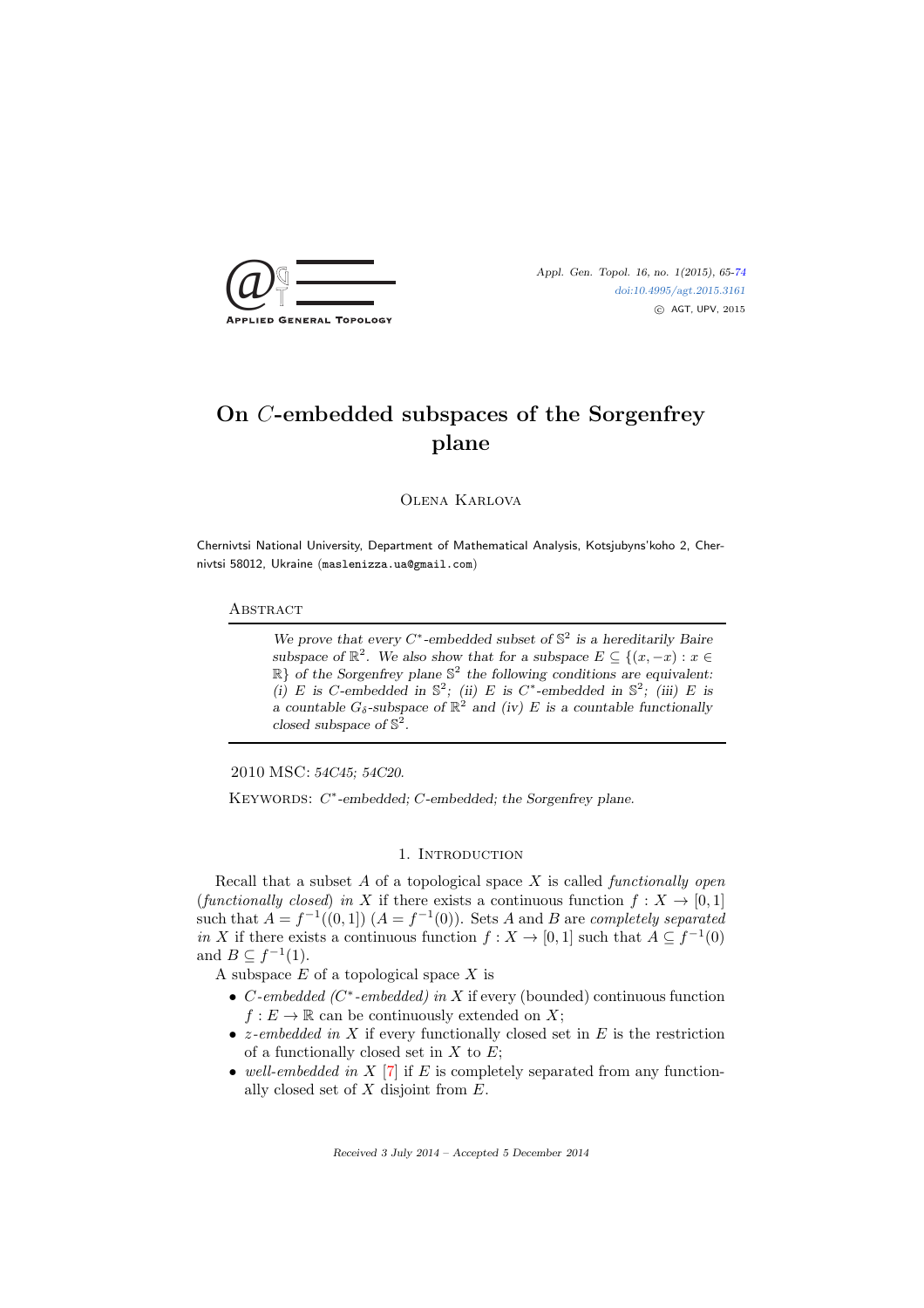

[doi:10.4995/agt.2015.3161](http://dx.doi.org/10.4995/agt.2015.3161) c AGT, UPV, 2015

# On C-embedded subspaces of the Sorgenfrey plane

Olena Karlova

Chernivtsi National University, Department of Mathematical Analysis, Kotsjubyns'koho 2, Chernivtsi 58012, Ukraine (maslenizza.ua@gmail.com)

### **ABSTRACT**

We prove that every  $C^*$ -embedded subset of  $\mathbb{S}^2$  is a hereditarily Baire subspace of  $\mathbb{R}^2$ . We also show that for a subspace  $E \subseteq \{(x, -x) : x \in$ R} *of the Sorgenfrey plane* S 2 *the following conditions are equivalent:* (*i*) E is C-embedded in  $\mathbb{S}^2$ ; (*ii*) E is C<sup>\*</sup>-embedded in  $\mathbb{S}^2$ ; (*iii*) E is *a* countable  $G_{\delta}$ -subspace of  $\mathbb{R}^2$  and (iv) E is a countable functionally *closed subspace of* S 2 *.*

2010 MSC: *54C45; 54C20.*

KEYWORDS:  $C^*$ -embedded;  $C$ -embedded; the Sorgenfrey plane.

### 1. INTRODUCTION

Recall that a subset  $A$  of a topological space  $X$  is called *functionally open* (functionally closed) in X if there exists a continuous function  $f: X \to [0,1]$ such that  $A = f^{-1}((0,1))$   $(A = f^{-1}(0))$ . Sets A and B are completely separated in X if there exists a continuous function  $f: X \to [0,1]$  such that  $A \subseteq f^{-1}(0)$ and  $B \subseteq f^{-1}(1)$ .

A subspace  $E$  of a topological space  $X$  is

- C-embedded ( $C^*$ -embedded) in X if every (bounded) continuous function  $f: E \to \mathbb{R}$  can be continuously extended on X;
- *z*-embedded in X if every functionally closed set in E is the restriction of a functionally closed set in  $X$  to  $E$ ;
- well-embedded in  $X$  [\[7\]](#page-8-1) if E is completely separated from any functionally closed set of  $X$  disjoint from  $E$ .

Received 3 July 2014 – Accepted 5 December 2014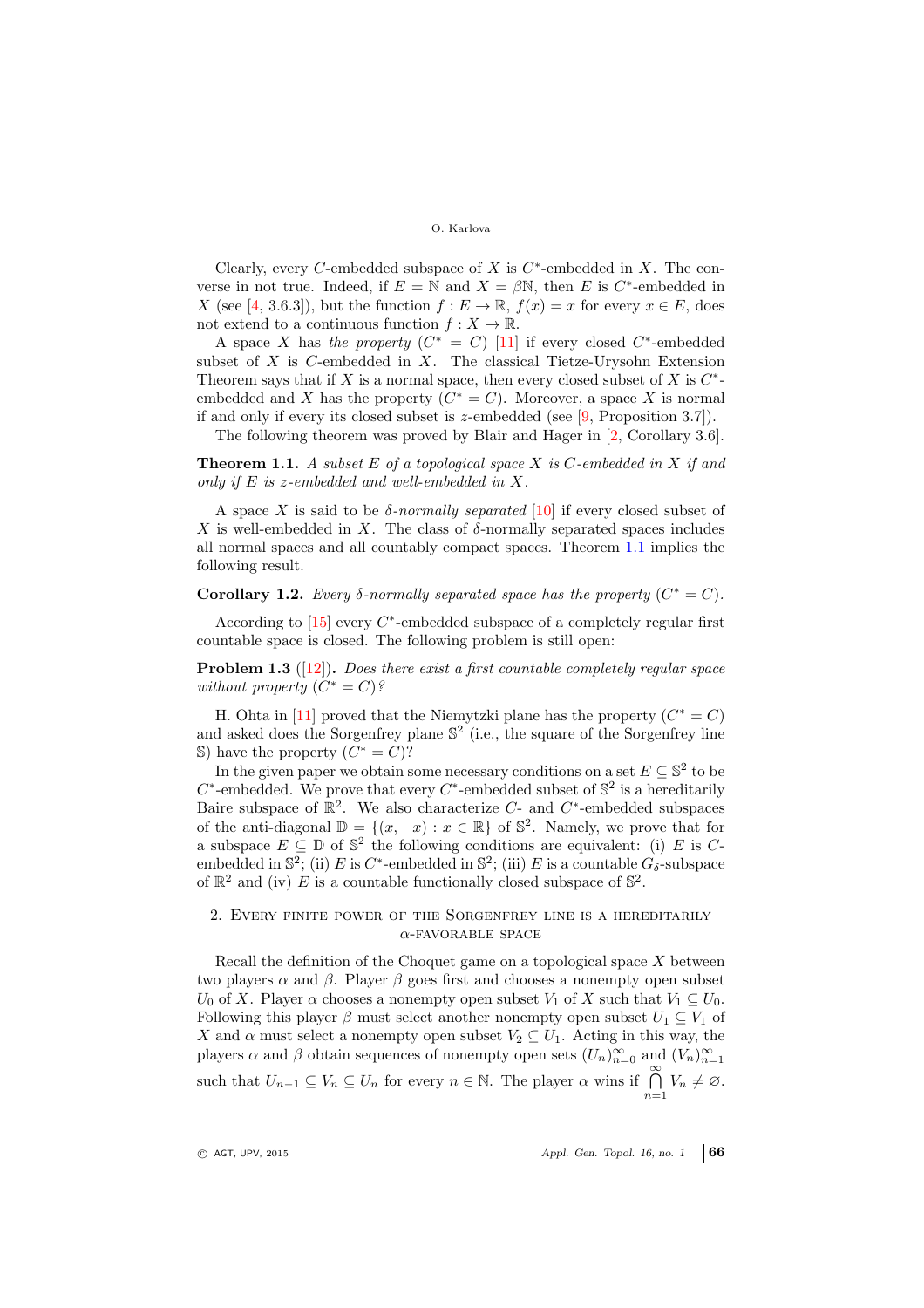Clearly, every C-embedded subspace of  $X$  is  $C^*$ -embedded in  $X$ . The converse in not true. Indeed, if  $E = N$  and  $X = \beta N$ , then E is C<sup>\*</sup>-embedded in X (see [\[4,](#page-8-2) 3.6.3]), but the function  $f: E \to \mathbb{R}$ ,  $f(x) = x$  for every  $x \in E$ , does not extend to a continuous function  $f: X \to \mathbb{R}$ .

A space X has the property  $(C^* = C)$  [\[11\]](#page-8-3) if every closed  $C^*$ -embedded subset of  $X$  is  $C$ -embedded in  $X$ . The classical Tietze-Urysohn Extension Theorem says that if X is a normal space, then every closed subset of X is  $C^*$ embedded and X has the property  $(C^* = C)$ . Moreover, a space X is normal if and only if every its closed subset is z-embedded (see  $[9,$  Proposition 3.7]).

The following theorem was proved by Blair and Hager in [\[2,](#page-8-5) Corollary 3.6].

<span id="page-1-0"></span>**Theorem 1.1.** A subset  $E$  of a topological space  $X$  is  $C$ -embedded in  $X$  if and only if E is z-embedded and well-embedded in X.

A space X is said to be  $\delta$ -normally separated [\[10\]](#page-8-6) if every closed subset of X is well-embedded in X. The class of  $\delta$ -normally separated spaces includes all normal spaces and all countably compact spaces. Theorem [1.1](#page-1-0) implies the following result.

Corollary 1.2. Every  $\delta$ -normally separated space has the property  $(C^* = C)$ .

According to  $[15]$  every  $C^*$ -embedded subspace of a completely regular first countable space is closed. The following problem is still open:

**Problem 1.3** ( $[12]$ ). Does there exist a first countable completely regular space without property  $(C^* = C)$ ?

H. Ohta in [\[11\]](#page-8-3) proved that the Niemytzki plane has the property  $(C^* = C)$ and asked does the Sorgenfrey plane  $\mathbb{S}^2$  (i.e., the square of the Sorgenfrey line S) have the property  $(C^* = C)$ ?

In the given paper we obtain some necessary conditions on a set  $E \subseteq \mathbb{S}^2$  to be  $C^*$ -embedded. We prove that every  $C^*$ -embedded subset of  $\mathbb{S}^2$  is a hereditarily Baire subspace of  $\mathbb{R}^2$ . We also characterize C- and C<sup>\*</sup>-embedded subspaces of the anti-diagonal  $\mathbb{D} = \{(x, -x) : x \in \mathbb{R}\}\$  of  $\mathbb{S}^2$ . Namely, we prove that for a subspace  $E \subseteq \mathbb{D}$  of  $\mathbb{S}^2$  the following conditions are equivalent: (i) E is Cembedded in  $\mathbb{S}^2$ ; (ii) E is C<sup>\*</sup>-embedded in  $\mathbb{S}^2$ ; (iii) E is a countable  $G_{\delta}$ -subspace of  $\mathbb{R}^2$  and (iv) E is a countable functionally closed subspace of  $\mathbb{S}^2$ .

## 2. Every finite power of the Sorgenfrey line is a hereditarily  $\alpha$ -FAVORABLE SPACE

Recall the definition of the Choquet game on a topological space  $X$  between two players  $\alpha$  and  $\beta$ . Player  $\beta$  goes first and chooses a nonempty open subset  $U_0$  of X. Player  $\alpha$  chooses a nonempty open subset  $V_1$  of X such that  $V_1 \subseteq U_0$ . Following this player  $\beta$  must select another nonempty open subset  $U_1 \subseteq V_1$  of X and  $\alpha$  must select a nonempty open subset  $V_2 \subseteq U_1$ . Acting in this way, the players  $\alpha$  and  $\beta$  obtain sequences of nonempty open sets  $(U_n)_{n=0}^{\infty}$  and  $(V_n)_{n=1}^{\infty}$ such that  $U_{n-1} \subseteq V_n \subseteq U_n$  for every  $n \in \mathbb{N}$ . The player  $\alpha$  wins if  $\bigcap_{n=1}^{\infty} V_n \neq \emptyset$ .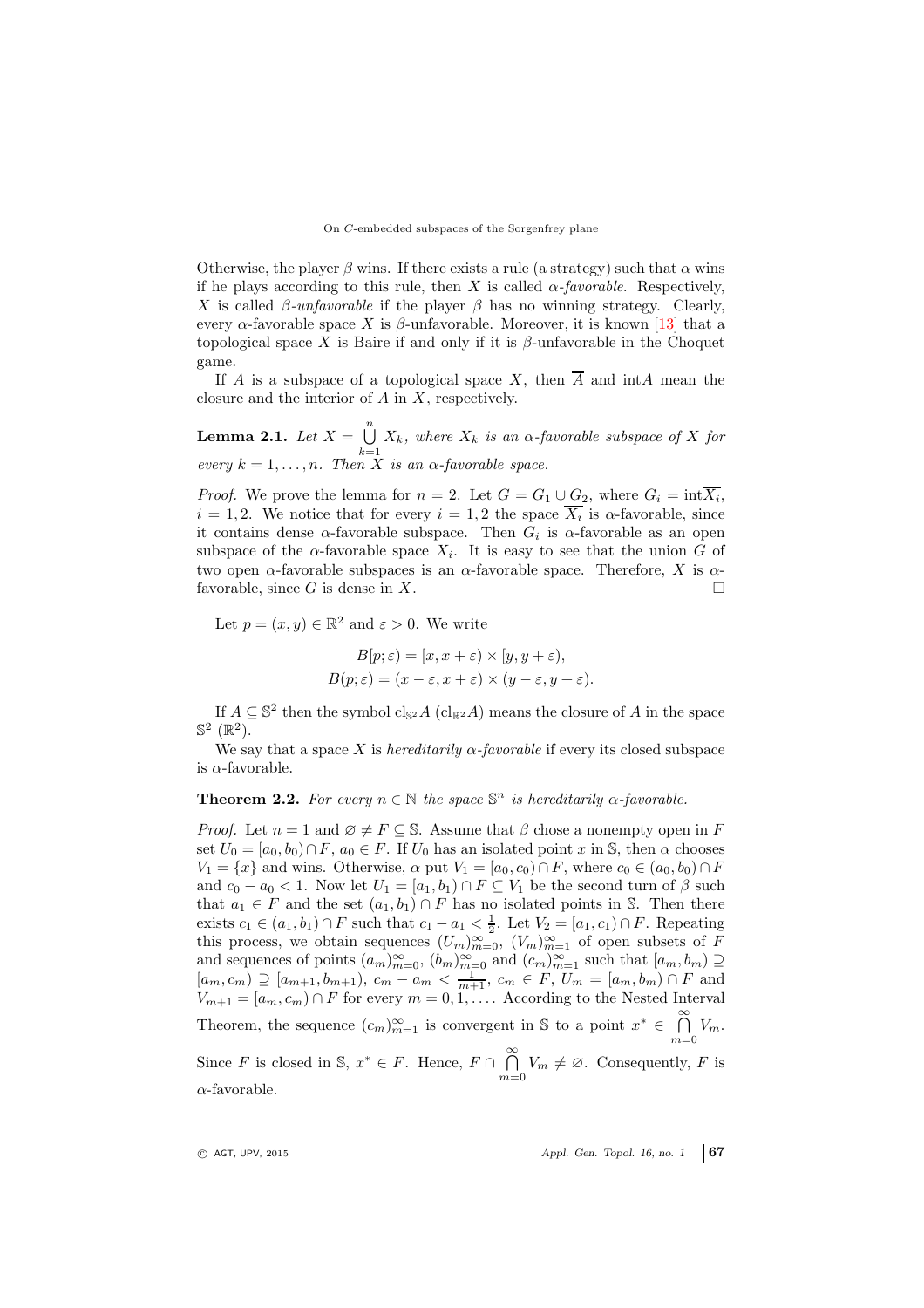Otherwise, the player  $\beta$  wins. If there exists a rule (a strategy) such that  $\alpha$  wins if he plays according to this rule, then X is called  $\alpha$ -favorable. Respectively, X is called  $\beta$ -unfavorable if the player  $\beta$  has no winning strategy. Clearly, every  $\alpha$ -favorable space X is  $\beta$ -unfavorable. Moreover, it is known [\[13\]](#page-8-8) that a topological space X is Baire if and only if it is  $\beta$ -unfavorable in the Choquet game.

If A is a subspace of a topological space X, then  $\overline{A}$  and intA mean the closure and the interior of A in X, respectively.

<span id="page-2-0"></span>**Lemma 2.1.** Let  $X = \bigcup^{n}$  $\bigcup_{k=1} X_k$ , where  $X_k$  is an  $\alpha$ -favorable subspace of X for every  $k = 1, \ldots, n$ . Then X is an  $\alpha$ -favorable space.

*Proof.* We prove the lemma for  $n = 2$ . Let  $G = G_1 \cup G_2$ , where  $G_i = \text{int}X_i$ ,  $i = 1, 2$ . We notice that for every  $i = 1, 2$  the space  $X_i$  is  $\alpha$ -favorable, since it contains dense  $\alpha$ -favorable subspace. Then  $G_i$  is  $\alpha$ -favorable as an open subspace of the  $\alpha$ -favorable space  $X_i$ . It is easy to see that the union G of two open  $\alpha$ -favorable subspaces is an  $\alpha$ -favorable space. Therefore, X is  $\alpha$ favorable, since G is dense in X.

Let  $p = (x, y) \in \mathbb{R}^2$  and  $\varepsilon > 0$ . We write

$$
B[p; \varepsilon) = [x, x + \varepsilon) \times [y, y + \varepsilon),
$$
  

$$
B(p; \varepsilon) = (x - \varepsilon, x + \varepsilon) \times (y - \varepsilon, y + \varepsilon).
$$

If  $A \subseteq \mathbb{S}^2$  then the symbol cls<sub>2</sub> A (cl<sub>R2</sub>A) means the closure of A in the space  $\mathbb{S}^2$   $(\mathbb{R}^2)$ .

We say that a space X is *hereditarily*  $\alpha$ *-favorable* if every its closed subspace is  $\alpha$ -favorable.

<span id="page-2-1"></span>**Theorem 2.2.** For every  $n \in \mathbb{N}$  the space  $\mathbb{S}^n$  is hereditarily  $\alpha$ -favorable.

*Proof.* Let  $n = 1$  and  $\emptyset \neq F \subseteq \mathbb{S}$ . Assume that  $\beta$  chose a nonempty open in F set  $U_0 = [a_0, b_0] \cap F$ ,  $a_0 \in F$ . If  $U_0$  has an isolated point x in S, then  $\alpha$  chooses  $V_1 = \{x\}$  and wins. Otherwise,  $\alpha$  put  $V_1 = [a_0, c_0] \cap F$ , where  $c_0 \in (a_0, b_0) \cap F$ and  $c_0 - a_0 < 1$ . Now let  $U_1 = [a_1, b_1] \cap F \subseteq V_1$  be the second turn of  $\beta$  such that  $a_1 \in F$  and the set  $(a_1, b_1) \cap F$  has no isolated points in S. Then there exists  $c_1 \in (a_1, b_1) \cap F$  such that  $c_1 - a_1 < \frac{1}{2}$ . Let  $V_2 = [a_1, c_1) \cap F$ . Repeating this process, we obtain sequences  $(U_m)_{m=0}^{\infty}$ ,  $(V_m)_{m=1}^{\infty}$  of open subsets of F and sequences of points  $(a_m)_{m=0}^{\infty}$ ,  $(b_m)_{m=0}^{\infty}$  and  $(c_m)_{m=1}^{\infty}$  such that  $[a_m, b_m] \supseteq$  $[a_m, c_m] \supseteq [a_{m+1}, b_{m+1}), \ c_m - a_m < \frac{1}{m+1}, \ c_m \in F, \ U_m = [a_m, b_m] \cap F$  and  $V_{m+1} = [a_m, c_m] \cap F$  for every  $m = 0, 1, \ldots$  According to the Nested Interval Theorem, the sequence  $(c_m)_{m=1}^{\infty}$  is convergent in S to a point  $x^* \in \bigcap_{m=0}^{\infty} V_m$ . Since F is closed in S,  $x^* \in F$ . Hence,  $F \cap \bigcap_{m=0}^{\infty} V_m \neq \emptyset$ . Consequently, F is  $\alpha$ -favorable.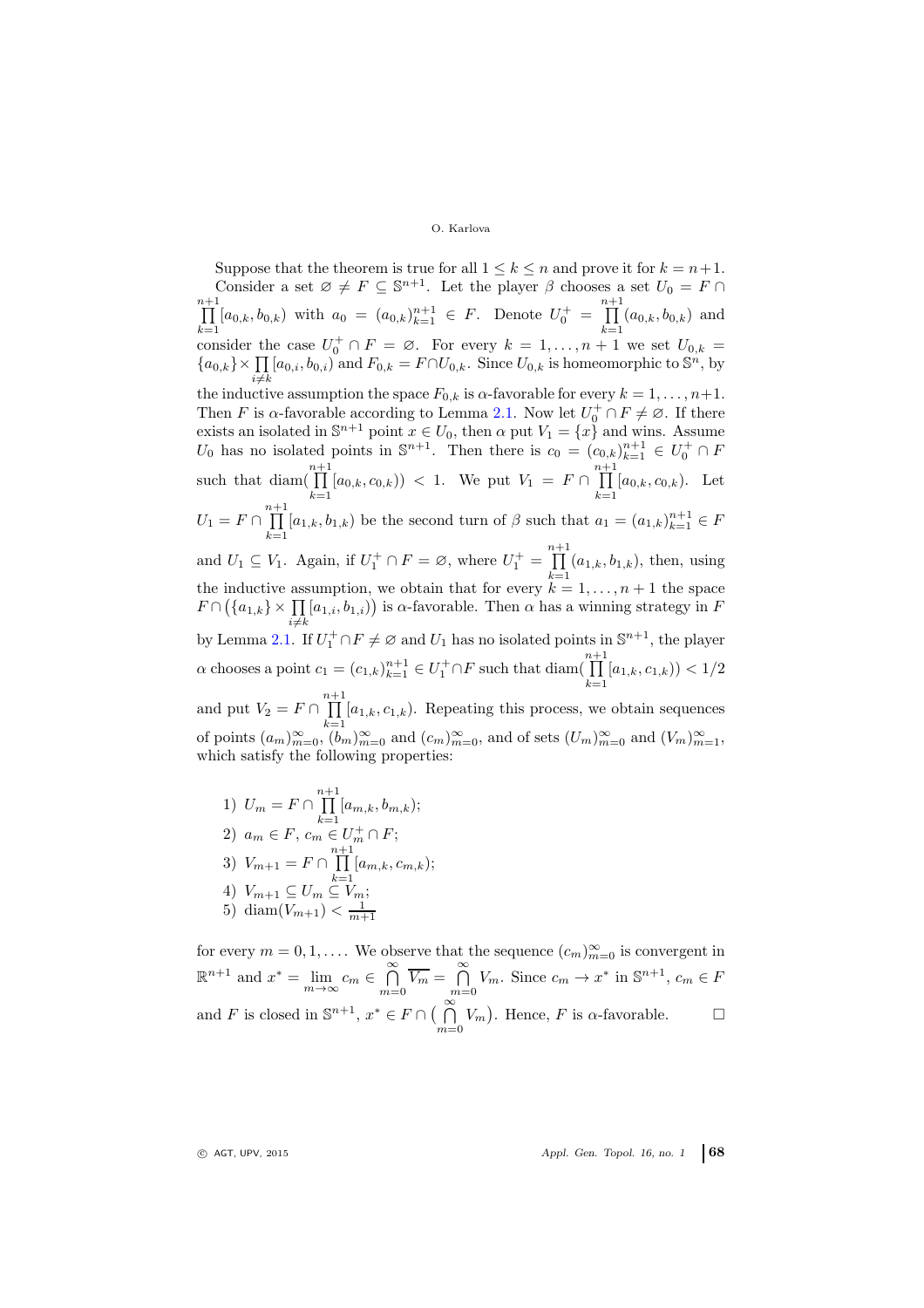Suppose that the theorem is true for all  $1 \leq k \leq n$  and prove it for  $k = n+1$ . Consider a set  $\varnothing \neq F \subseteq \mathbb{S}^{n+1}$ . Let the player  $\beta$  chooses a set  $U_0 = F \cap \prod_{i=1}^{n+1} [a_{0,k}, b_{0,k})$  with  $a_0 = (a_{0,k})_{k=1}^{n+1} \in F$ . Denote  $U_0^+ = \prod_{i=1}^{n+1} (a_{0,k}, b_{0,k})$  and  $\prod_{k=1}^{n+1} [a_{0,k}, b_{0,k})$  with  $a_0 = (a_{0,k})_{k=1}^{n+1} \in F$ . Denote  $U_0^+ = \prod_{k=1}^{n+1}$  $\prod_{k=1} (a_{0,k}, b_{0,k})$  and consider the case  $U_0^+ \cap F = \emptyset$ . For every  $k = 1, ..., n + 1$  we set  $U_{0,k} =$  ${a_{0,k}}\times \prod_{i\neq k} [a_{0,i}, b_{0,i})$  and  $F_{0,k} = F \cap U_{0,k}$ . Since  $U_{0,k}$  is homeomorphic to  $\mathbb{S}^n$ , by the inductive assumption the space  $F_{0,k}$  is  $\alpha$ -favorable for every  $k = 1, \ldots, n+1$ . Then F is  $\alpha$ -favorable according to Lemma [2.1.](#page-2-0) Now let  $U_0^+ \cap F \neq \emptyset$ . If there exists an isolated in  $\mathbb{S}^{n+1}$  point  $x \in U_0$ , then  $\alpha$  put  $V_1 = \{x\}$  and wins. Assume  $U_0$  has no isolated points in  $\mathbb{S}^{n+1}$ . Then there is  $c_0 = (c_{0,k})_{k=1}^{n+1} \in U_0^+ \cap F$ such that diam( $\prod_{n=1}^{n+1}$  $\prod_{k=1}^{n+1} [a_{0,k}, c_{0,k})$  < 1. We put  $V_1 = F \cap \prod_{k=1}^{n+1}$  $\prod_{k=1} [a_{0,k}, c_{0,k}).$  Let  $U_1 = F \cap \prod^{n+1}$  $\prod_{k=1}^{n} [a_{1,k}, b_{1,k})$  be the second turn of  $\beta$  such that  $a_1 = (a_{1,k})_{k=1}^{n+1} \in F$ and  $U_1 \subseteq V_1$ . Again, if  $U_1^+ \cap F = \emptyset$ , where  $U_1^+ = \prod^{n+1}$  $\prod_{k=1} (a_{1,k}, b_{1,k})$ , then, using the inductive assumption, we obtain that for every  $k = 1, \ldots, n + 1$  the space  $F \cap (\{a_{1,k}\} \times \prod [a_{1,i}, b_{1,i})\})$  is  $\alpha$ -favorable. Then  $\alpha$  has a winning strategy in F  $i{\neq}k$ by Lemma [2.1.](#page-2-0) If  $U_1^+ \cap F \neq \emptyset$  and  $U_1$  has no isolated points in  $\mathbb{S}^{n+1}$ , the player  $\alpha$  chooses a point  $c_1 = (c_{1,k})_{k=1}^{n+1} \in U_1^+ \cap F$  such that  $\text{diam}(\prod_{k=1}^{n+1}$  $\prod_{k=1} [a_{1,k}, c_{1,k})$  < 1/2 and put  $V_2 = F \cap \prod_{k=1}^{n+1} [a_{1,k}, c_{1,k})$ . Repeating this process, we obtain sequences of points  $(a_m)_{m=0}^{\infty}$ ,  $(b_m)_{m=0}^{\infty}$  and  $(c_m)_{m=0}^{\infty}$ , and of sets  $(U_m)_{m=0}^{\infty}$  and  $(V_m)_{m=1}^{\infty}$ , which satisfy the following properties:

1)  $U_m = F \cap \prod^{n+1}$  $\prod_{k=1} [a_{m,k}, b_{m,k});$ 2)  $a_m \in F$ ,  $c_m \in U_m^+ \cap F$ ; 3)  $V_{m+1} = F \cap \prod^{n+1}$  $\prod_{k=1} [a_{m,k}, c_{m,k});$ 4)  $V_{m+1} \subseteq U_m \subseteq V_m$ ; 5) diam $(V_{m+1}) < \frac{1}{m+1}$ 

for every  $m = 0, 1, \ldots$  We observe that the sequence  $(c_m)_{m=0}^{\infty}$  is convergent in  $\mathbb{R}^{n+1}$  and  $x^* = \lim_{m \to \infty} c_m \in \bigcap_{m=0}^{\infty} \overline{V_m} = \bigcap_{m=0}^{\infty} V_m$ . Since  $c_m \to x^*$  in  $\mathbb{S}^{n+1}$ ,  $c_m \in F$ and F is closed in  $\mathbb{S}^{n+1}$ ,  $x^* \in F \cap \left(\bigcap_{m=0}^{\infty} V_m\right)$ . Hence, F is  $\alpha$ -favorable.  $\square$ 

 $Q$  AGT, UPV, 2015  $\qquad \qquad \text{Appl. Gen. Topol. 16, no. 1}$  68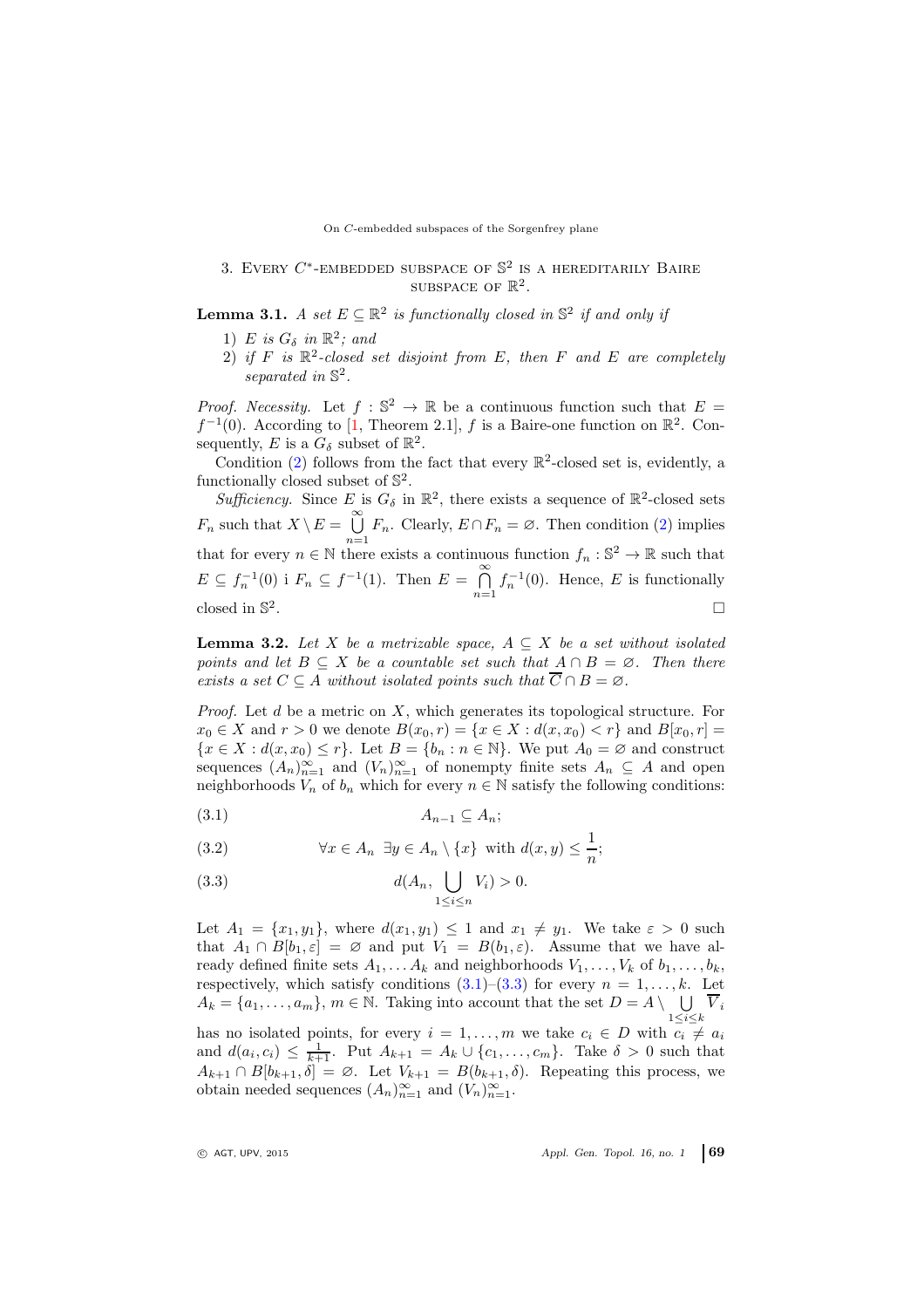#### On C-embedded subspaces of the Sorgenfrey plane

# 3. EVERY  $C^*$ -EMBEDDED SUBSPACE OF  $\mathbb{S}^2$  is a hereditarily Baire SUBSPACE OF  $\mathbb{R}^2$ .

<span id="page-4-4"></span><span id="page-4-0"></span>**Lemma 3.1.** A set  $E \subseteq \mathbb{R}^2$  is functionally closed in  $\mathbb{S}^2$  if and only if

- 1) E is  $G_{\delta}$  in  $\mathbb{R}^2$ ; and
- 2) if  $F$  is  $\mathbb{R}^2$ -closed set disjoint from  $E$ , then  $F$  and  $E$  are completely separated in  $\mathbb{S}^2$ .

*Proof.* Necessity. Let  $f : \mathbb{S}^2 \to \mathbb{R}$  be a continuous function such that  $E =$  $f^{-1}(0)$ . According to [\[1,](#page-8-9) Theorem 2.1], f is a Baire-one function on  $\mathbb{R}^2$ . Consequently, E is a  $G_{\delta}$  subset of  $\mathbb{R}^{2}$ .

Condition [\(2\)](#page-4-0) follows from the fact that every  $\mathbb{R}^2$ -closed set is, evidently, a functionally closed subset of  $\mathbb{S}^2$ .

Sufficiency. Since E is  $G_{\delta}$  in  $\mathbb{R}^{2}$ , there exists a sequence of  $\mathbb{R}^{2}$ -closed sets  $F_n$  such that  $X \setminus E = \bigcup_{n=1}^{\infty} F_n$ . Clearly,  $E \cap F_n = \emptyset$ . Then condition [\(2\)](#page-4-0) implies that for every  $n \in \mathbb{N}$  there exists a continuous function  $f_n : \mathbb{S}^2 \to \mathbb{R}$  such that  $E \subseteq f_n^{-1}(0)$  i  $F_n \subseteq f^{-1}(1)$ . Then  $E = \bigcap_{n=1}^{\infty} f_n^{-1}(0)$ . Hence, E is functionally closed in S 2 .

<span id="page-4-3"></span>**Lemma 3.2.** Let X be a metrizable space,  $A \subseteq X$  be a set without isolated points and let  $B \subseteq X$  be a countable set such that  $A \cap B = \emptyset$ . Then there exists a set  $C \subseteq A$  without isolated points such that  $\overline{C} \cap B = \emptyset$ .

*Proof.* Let  $d$  be a metric on  $X$ , which generates its topological structure. For  $x_0 \in X$  and  $r > 0$  we denote  $B(x_0, r) = \{x \in X : d(x, x_0) < r\}$  and  $B[x_0, r] =$  ${x \in X : d(x, x_0) \leq r}$ . Let  $B = \{b_n : n \in \mathbb{N}\}$ . We put  $A_0 = \emptyset$  and construct sequences  $(A_n)_{n=1}^{\infty}$  and  $(V_n)_{n=1}^{\infty}$  of nonempty finite sets  $A_n \subseteq A$  and open neighborhoods  $V_n$  of  $b_n$  which for every  $n \in \mathbb{N}$  satisfy the following conditions:

<span id="page-4-1"></span>
$$
(3.1) \t A_{n-1} \subseteq A_n;
$$

(3.2) 
$$
\forall x \in A_n \ \exists y \in A_n \setminus \{x\} \ \text{with} \ d(x, y) \leq \frac{1}{n};
$$

<span id="page-4-2"></span>
$$
(3.3) \t d(A_n, \bigcup_{1 \le i \le n} V_i) > 0.
$$

Let  $A_1 = \{x_1, y_1\}$ , where  $d(x_1, y_1) \leq 1$  and  $x_1 \neq y_1$ . We take  $\varepsilon > 0$  such that  $A_1 \cap B[b_1, \varepsilon] = \emptyset$  and put  $V_1 = B(b_1, \varepsilon)$ . Assume that we have already defined finite sets  $A_1, \ldots, A_k$  and neighborhoods  $V_1, \ldots, V_k$  of  $b_1, \ldots, b_k$ , respectively, which satisfy conditions  $(3.1)$ – $(3.3)$  for every  $n = 1, ..., k$ . Let  $A_k = \{a_1, \ldots, a_m\}, m \in \mathbb{N}$ . Taking into account that the set  $D = A \setminus \bigcup$  $\bigcup_{1\leq i\leq k} V_i$ has no isolated points, for every  $i = 1, \ldots, m$  we take  $c_i \in D$  with  $c_i \neq a_i$ and  $d(a_i, c_i) \leq \frac{1}{k+1}$ . Put  $A_{k+1} = A_k \cup \{c_1, \ldots, c_m\}$ . Take  $\delta > 0$  such that

 $A_{k+1} \cap B[b_{k+1}, \delta] = \emptyset$ . Let  $V_{k+1} = B(b_{k+1}, \delta)$ . Repeating this process, we obtain needed sequences  $(A_n)_{n=1}^{\infty}$  and  $(V_n)_{n=1}^{\infty}$ .

 $\circ$  AGT, UPV, 2015  $\circ$  Appl. Gen. Topol. 16, no. 1 69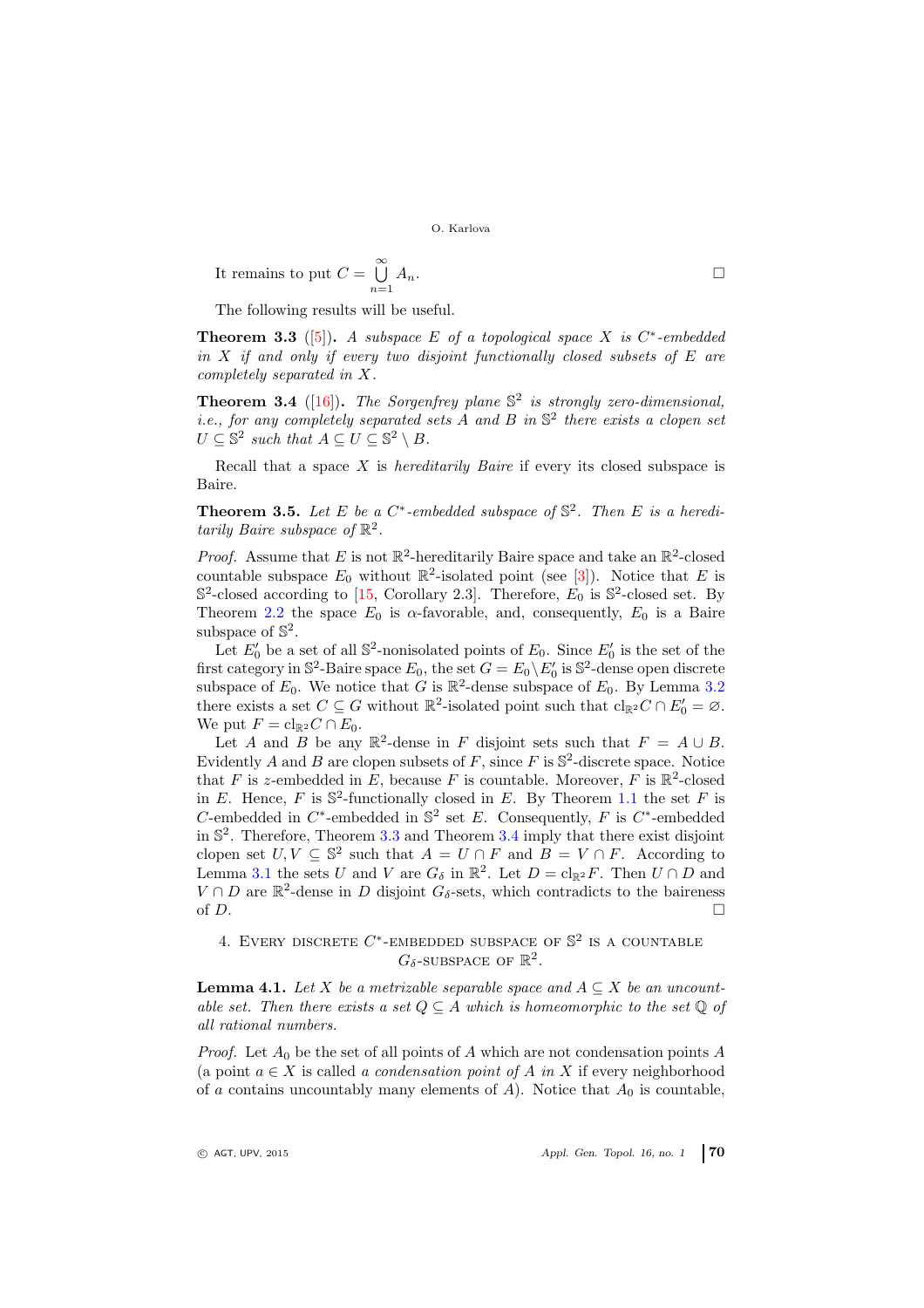It remains to put 
$$
C = \bigcup_{n=1}^{\infty} A_n
$$
.

The following results will be useful.

<span id="page-5-0"></span>**Theorem 3.3** ([\[5\]](#page-8-10)). A subspace E of a topological space X is  $C^*$ -embedded in  $X$  if and only if every two disjoint functionally closed subsets of  $E$  are completely separated in X.

<span id="page-5-1"></span>**Theorem 3.4** ([\[16\]](#page-9-1)). The Sorgenfrey plane  $\mathbb{S}^2$  is strongly zero-dimensional, *i.e.*, for any completely separated sets A and B in  $\mathbb{S}^2$  there exists a clopen set  $U \subseteq \mathbb{S}^2$  such that  $A \subseteq U \subseteq \mathbb{S}^2 \setminus B$ .

Recall that a space  $X$  is *hereditarily Baire* if every its closed subspace is Baire.

<span id="page-5-3"></span>**Theorem 3.5.** Let E be a  $C^*$ -embedded subspace of  $\mathbb{S}^2$ . Then E is a hereditarily Baire subspace of  $\mathbb{R}^2$ .

*Proof.* Assume that E is not  $\mathbb{R}^2$ -hereditarily Baire space and take an  $\mathbb{R}^2$ -closed countable subspace  $E_0$  without  $\mathbb{R}^2$ -isolated point (see [\[3\]](#page-8-11)). Notice that E is  $\mathbb{S}^2$ -closed according to [\[15,](#page-9-0) Corollary 2.3]. Therefore,  $E_0$  is  $\mathbb{S}^2$ -closed set. By Theorem [2.2](#page-2-1) the space  $E_0$  is  $\alpha$ -favorable, and, consequently,  $E_0$  is a Baire subspace of  $\mathbb{S}^2$ .

Let  $E'_0$  be a set of all  $\mathbb{S}^2$ -nonisolated points of  $E_0$ . Since  $E'_0$  is the set of the first category in  $\mathbb{S}^2$ -Baire space  $E_0$ , the set  $G = E_0 \backslash E'_0$  is  $\mathbb{S}^2$ -dense open discrete subspace of  $E_0$ . We notice that G is  $\mathbb{R}^2$ -dense subspace of  $E_0$ . By Lemma [3.2](#page-4-3) there exists a set  $C \subseteq G$  without  $\mathbb{R}^2$ -isolated point such that  $\text{cl}_{\mathbb{R}^2}C \cap E'_0 = \emptyset$ . We put  $F = \text{cl}_{\mathbb{R}^2} C \cap E_0$ .

Let A and B be any  $\mathbb{R}^2$ -dense in F disjoint sets such that  $F = A \cup B$ . Evidently A and B are clopen subsets of F, since F is  $\mathbb{S}^2$ -discrete space. Notice that F is z-embedded in E, because F is countable. Moreover, F is  $\mathbb{R}^2$ -closed in E. Hence, F is  $\mathbb{S}^2$ -functionally closed in E. By Theorem [1.1](#page-1-0) the set F is C-embedded in  $C^*$ -embedded in  $\mathbb{S}^2$  set E. Consequently, F is  $C^*$ -embedded in S 2 . Therefore, Theorem [3.3](#page-5-0) and Theorem [3.4](#page-5-1) imply that there exist disjoint clopen set  $U, V \subseteq \mathbb{S}^2$  such that  $A = U \cap F$  and  $B = V \cap F$ . According to Lemma [3.1](#page-4-4) the sets U and V are  $G_{\delta}$  in  $\mathbb{R}^2$ . Let  $D = \mathrm{cl}_{\mathbb{R}^2}F$ . Then  $U \cap D$  and  $V \cap D$  are  $\mathbb{R}^2$ -dense in D disjoint  $G_{\delta}$ -sets, which contradicts to the baireness of  $D$ .

# 4. EVERY DISCRETE  $C^*$ -EMBEDDED SUBSPACE OF  $\mathbb{S}^2$  is a countable  $G_{\delta}$ -subspace of  $\mathbb{R}^2$ .

<span id="page-5-2"></span>**Lemma 4.1.** Let X be a metrizable separable space and  $A \subseteq X$  be an uncountable set. Then there exists a set  $Q \subseteq A$  which is homeomorphic to the set  $\mathbb Q$  of all rational numbers.

*Proof.* Let  $A_0$  be the set of all points of A which are not condensation points A (a point  $a \in X$  is called a condensation point of A in X if every neighborhood of a contains uncountably many elements of A). Notice that  $A_0$  is countable,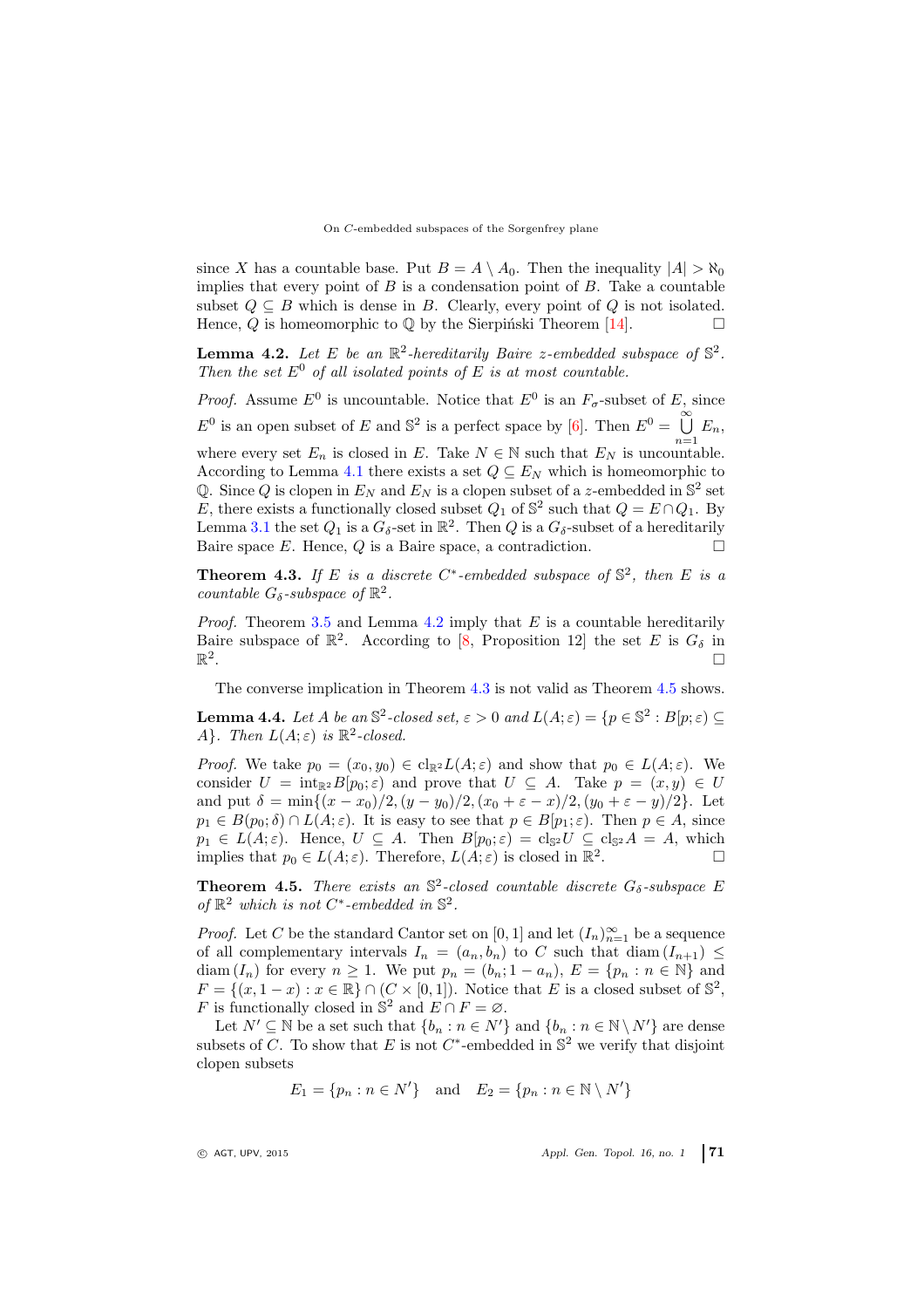since X has a countable base. Put  $B = A \setminus A_0$ . Then the inequality  $|A| > \aleph_0$ implies that every point of  $B$  is a condensation point of  $B$ . Take a countable subset  $Q \subseteq B$  which is dense in B. Clearly, every point of Q is not isolated. Hence, Q is homeomorphic to  $\mathbb Q$  by the Sierpinski Theorem [\[14\]](#page-9-2).

<span id="page-6-0"></span>**Lemma 4.2.** Let E be an  $\mathbb{R}^2$ -hereditarily Baire z-embedded subspace of  $\mathbb{S}^2$ . Then the set  $E^0$  of all isolated points of E is at most countable.

*Proof.* Assume  $E^0$  is uncountable. Notice that  $E^0$  is an  $F_{\sigma}$ -subset of E, since  $E^0$  is an open subset of E and  $\mathbb{S}^2$  is a perfect space by [\[6\]](#page-8-12). Then  $E^0 = \bigcup_{n=1}^{\infty} E_n$ , where every set  $E_n$  is closed in E. Take  $N \in \mathbb{N}$  such that  $E_N$  is uncountable. According to Lemma [4.1](#page-5-2) there exists a set  $Q \subseteq E_N$  which is homeomorphic to Q. Since Q is clopen in  $E_N$  and  $E_N$  is a clopen subset of a z-embedded in  $\mathbb{S}^2$  set E, there exists a functionally closed subset  $Q_1$  of  $\mathbb{S}^2$  such that  $Q = E \cap Q_1$ . By Lemma [3.1](#page-4-4) the set  $Q_1$  is a  $G_\delta$ -set in  $\mathbb{R}^2$ . Then  $Q$  is a  $G_\delta$ -subset of a hereditarily Baire space E. Hence,  $Q$  is a Baire space, a contradiction.  $\square$ 

<span id="page-6-1"></span>**Theorem 4.3.** If E is a discrete C<sup>\*</sup>-embedded subspace of  $\mathbb{S}^2$ , then E is a countable  $G_{\delta}$ -subspace of  $\mathbb{R}^2$ .

*Proof.* Theorem [3.5](#page-5-3) and Lemma [4.2](#page-6-0) imply that  $E$  is a countable hereditarily Baire subspace of  $\mathbb{R}^2$ . According to [\[8,](#page-8-13) Proposition 12] the set E is  $G_{\delta}$  in  $\mathbb{R}^2$ .

The converse implication in Theorem [4.3](#page-6-1) is not valid as Theorem [4.5](#page-6-2) shows.

<span id="page-6-3"></span>**Lemma 4.4.** Let A be an  $\mathbb{S}^2$ -closed set,  $\varepsilon > 0$  and  $L(A; \varepsilon) = \{p \in \mathbb{S}^2 : B[p; \varepsilon) \subseteq$ A. Then  $L(A; \varepsilon)$  is  $\mathbb{R}^2$ -closed.

*Proof.* We take  $p_0 = (x_0, y_0) \in \text{cl}_{\mathbb{R}^2} L(A; \varepsilon)$  and show that  $p_0 \in L(A; \varepsilon)$ . We consider  $U = \text{int}_{\mathbb{R}^2} B[p_0; \varepsilon]$  and prove that  $U \subseteq A$ . Take  $p = (x, y) \in U$ and put  $\delta = \min\{(x - x_0)/2, (y - y_0)/2, (x_0 + \varepsilon - x)/2, (y_0 + \varepsilon - y)/2\}$ . Let  $p_1 \in B(p_0; \delta) \cap L(A; \varepsilon)$ . It is easy to see that  $p \in B(p_1; \varepsilon)$ . Then  $p \in A$ , since  $p_1 \in L(A; \varepsilon)$ . Hence,  $U \subseteq A$ . Then  $B[p_0; \varepsilon) = \text{cl}_{\mathbb{S}^2} U \subseteq \text{cl}_{\mathbb{S}^2} A = A$ , which implies that  $p_0 \in L(A; \varepsilon)$ . Therefore,  $L(A; \varepsilon)$  is closed in  $\mathbb{R}^2$ .<br>. — П

<span id="page-6-2"></span>**Theorem 4.5.** There exists an  $\mathbb{S}^2$ -closed countable discrete  $G_{\delta}$ -subspace E of  $\mathbb{R}^2$  which is not C<sup>\*</sup>-embedded in  $\mathbb{S}^2$ .

*Proof.* Let C be the standard Cantor set on  $[0,1]$  and let  $(I_n)_{n=1}^{\infty}$  be a sequence of all complementary intervals  $I_n = (a_n, b_n)$  to C such that diam  $(I_{n+1}) \leq I_n$ diam  $(I_n)$  for every  $n \geq 1$ . We put  $p_n = (b_n; 1 - a_n)$ ,  $E = \{p_n : n \in \mathbb{N}\}\$  and  $F = \{(x, 1-x) : x \in \mathbb{R}\} \cap (C \times [0,1])$ . Notice that E is a closed subset of  $\mathbb{S}^2$ , F is functionally closed in  $\mathbb{S}^2$  and  $E \cap F = \emptyset$ .

Let  $N' \subseteq \mathbb{N}$  be a set such that  $\{b_n : n \in N'\}$  and  $\{b_n : n \in \mathbb{N} \setminus N'\}$  are dense subsets of C. To show that E is not C<sup>\*</sup>-embedded in  $\mathbb{S}^2$  we verify that disjoint clopen subsets

$$
E_1 = \{p_n : n \in N'\}
$$
 and  $E_2 = \{p_n : n \in \mathbb{N} \setminus N'\}$ 

 $\circ$  AGT, UPV, 2015  $\circ$  Appl. Gen. Topol. 16, no. 1 71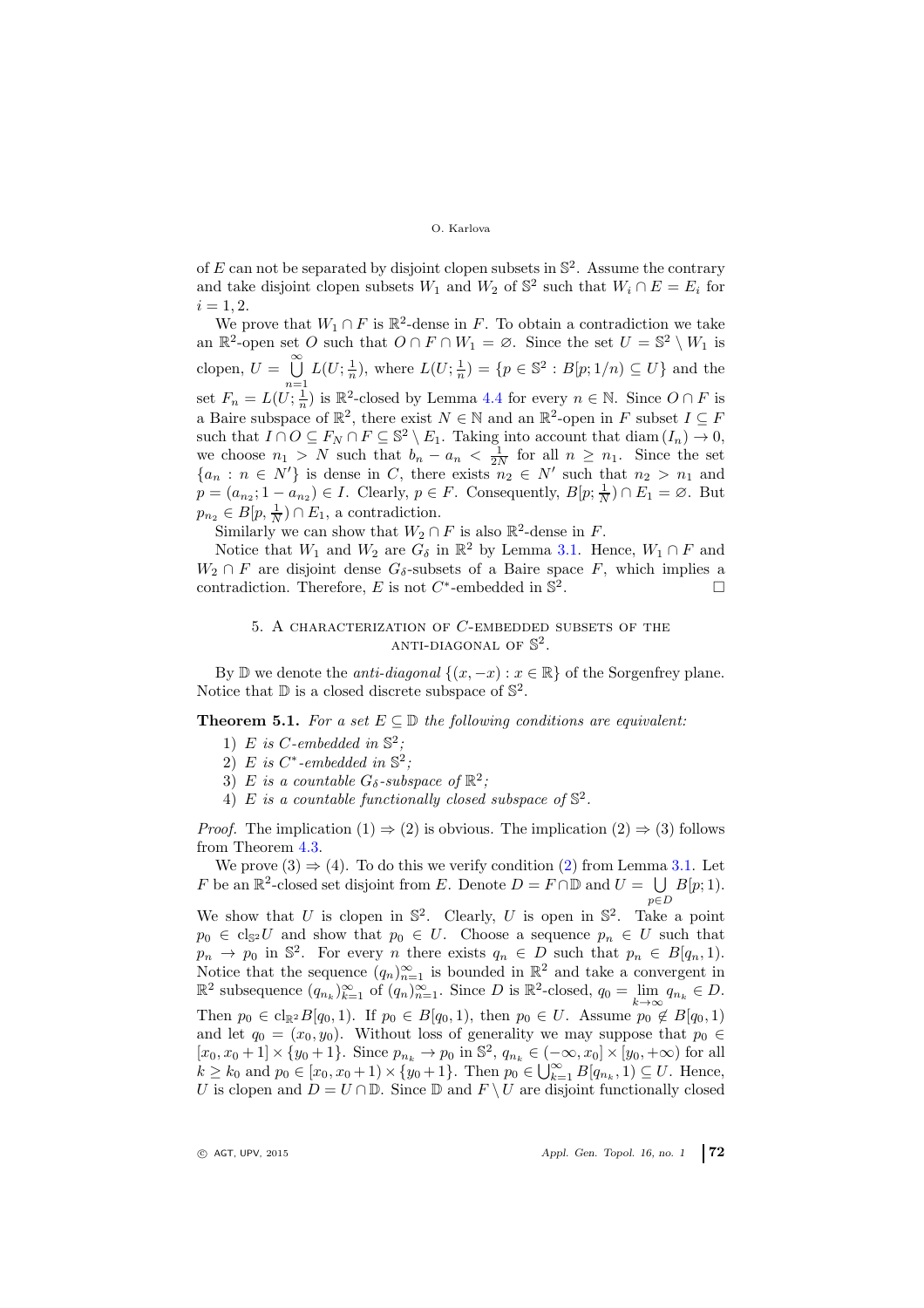of E can not be separated by disjoint clopen subsets in  $\mathbb{S}^2$ . Assume the contrary and take disjoint clopen subsets  $W_1$  and  $W_2$  of  $\mathbb{S}^2$  such that  $W_i \cap E = E_i$  for  $i = 1, 2.$ 

We prove that  $W_1 \cap F$  is  $\mathbb{R}^2$ -dense in F. To obtain a contradiction we take an  $\mathbb{R}^2$ -open set O such that  $O \cap F \cap W_1 = \emptyset$ . Since the set  $U = \mathbb{S}^2 \setminus W_1$  is clopen,  $U = \bigcup_{n=1}^{\infty} L(U; \frac{1}{n})$ , where  $L(U; \frac{1}{n}) = \{p \in \mathbb{S}^2 : B[p; 1/n) \subseteq U\}$  and the set  $F_n = L(U; \frac{1}{n})$  is  $\mathbb{R}^2$ -closed by Lemma [4.4](#page-6-3) for every  $n \in \mathbb{N}$ . Since  $O \cap F$  is a Baire subspace of  $\mathbb{R}^2$ , there exist  $N \in \mathbb{N}$  and an  $\mathbb{R}^2$ -open in F subset  $I \subseteq F$ such that  $I \cap O \subseteq F_N \cap F \subseteq \mathbb{S}^2 \setminus E_1$ . Taking into account that  $\text{diam}(I_n) \to 0$ , we choose  $n_1 > N$  such that  $b_n - a_n < \frac{1}{2N}$  for all  $n \geq n_1$ . Since the set  ${a_n : n \in N' }$  is dense in C, there exists  $n_2 \in N'$  such that  $n_2 > n_1$  and  $p = (a_{n_2}; 1 - a_{n_2}) \in I$ . Clearly,  $p \in F$ . Consequently,  $B[p; \frac{1}{N}) \cap E_1 = \emptyset$ . But  $p_{n_2} \in B[p, \frac{1}{N}) \cap E_1$ , a contradiction.

Similarly we can show that  $W_2 \cap F$  is also  $\mathbb{R}^2$ -dense in F.

Notice that  $W_1$  and  $W_2$  are  $G_\delta$  in  $\mathbb{R}^2$  by Lemma [3.1.](#page-4-4) Hence,  $W_1 \cap F$  and  $W_2 \cap F$  are disjoint dense  $G_{\delta}$ -subsets of a Baire space F, which implies a contradiction. Therefore, E is not  $C^*$ -embedded in  $\mathbb{S}^2$ . — Первый процесс в подводительство<br>См. также подводительство в Первый продавание и продавание и продавание подводительство в Первый продавание и<br>См. также подводительство в Первый продавание и продавание подводительство

## 5. A characterization of C-embedded subsets of the ANTI-DIAGONAL OF  $\mathbb{S}^2$ .

By D we denote the *anti-diagonal*  $\{(x, -x) : x \in \mathbb{R}\}\)$  of the Sorgenfrey plane. Notice that  $\mathbb D$  is a closed discrete subspace of  $\mathbb S^2$ .

**Theorem 5.1.** For a set  $E \subseteq D$  the following conditions are equivalent:

- 1) E is C-embedded in  $\mathbb{S}^2$ ;
- 2) E is  $C^*$ -embedded in  $\mathbb{S}^2$ ;
- 3) E is a countable  $G_{\delta}$ -subspace of  $\mathbb{R}^2$ ;
- 4) E is a countable functionally closed subspace of  $\mathbb{S}^2$ .

*Proof.* The implication  $(1) \Rightarrow (2)$  is obvious. The implication  $(2) \Rightarrow (3)$  follows from Theorem [4.3.](#page-6-1)

We prove  $(3) \Rightarrow (4)$ . To do this we verify condition  $(2)$  from Lemma [3.1.](#page-4-4) Let F be an  $\mathbb{R}^2$ -closed set disjoint from E. Denote  $D = F \cap \mathbb{D}$  and  $U = \bigcup B[p;1]$ .  $p\epsilon D$ 

We show that U is clopen in  $\mathbb{S}^2$ . Clearly, U is open in  $\mathbb{S}^2$ . Take a point  $p_0 \in \text{cl}_{\mathbb{S}^2} U$  and show that  $p_0 \in U$ . Choose a sequence  $p_n \in U$  such that  $p_n \to p_0$  in  $\mathbb{S}^2$ . For every *n* there exists  $q_n \in D$  such that  $p_n \in B[q_n,1]$ . Notice that the sequence  $(q_n)_{n=1}^{\infty}$  is bounded in  $\mathbb{R}^2$  and take a convergent in  $\mathbb{R}^2$  subsequence  $(q_{n_k})_{k=1}^{\infty}$  of  $(q_n)_{n=1}^{\infty}$ . Since D is  $\mathbb{R}^2$ -closed,  $q_0 = \lim_{k \to \infty} q_{n_k} \in D$ . Then  $p_0 \in \text{cl}_{\mathbb{R}^2}B[q_0, 1)$ . If  $p_0 \in B[q_0, 1)$ , then  $p_0 \in U$ . Assume  $p_0 \notin B[q_0, 1)$ and let  $q_0 = (x_0, y_0)$ . Without loss of generality we may suppose that  $p_0 \in$  $[x_0, x_0 + 1] \times \{y_0 + 1\}$ . Since  $p_{n_k} \to p_0$  in  $\mathbb{S}^2$ ,  $q_{n_k} \in (-\infty, x_0] \times [y_0, +\infty)$  for all  $k \geq k_0$  and  $p_0 \in [x_0, x_0 + 1) \times \{y_0 + 1\}$ . Then  $p_0 \in \bigcup_{k=1}^{\infty} B[q_{n_k}, 1] \subseteq U$ . Hence, U is clopen and  $D = U \cap \mathbb{D}$ . Since  $\mathbb{D}$  and  $F \setminus U$  are disjoint functionally closed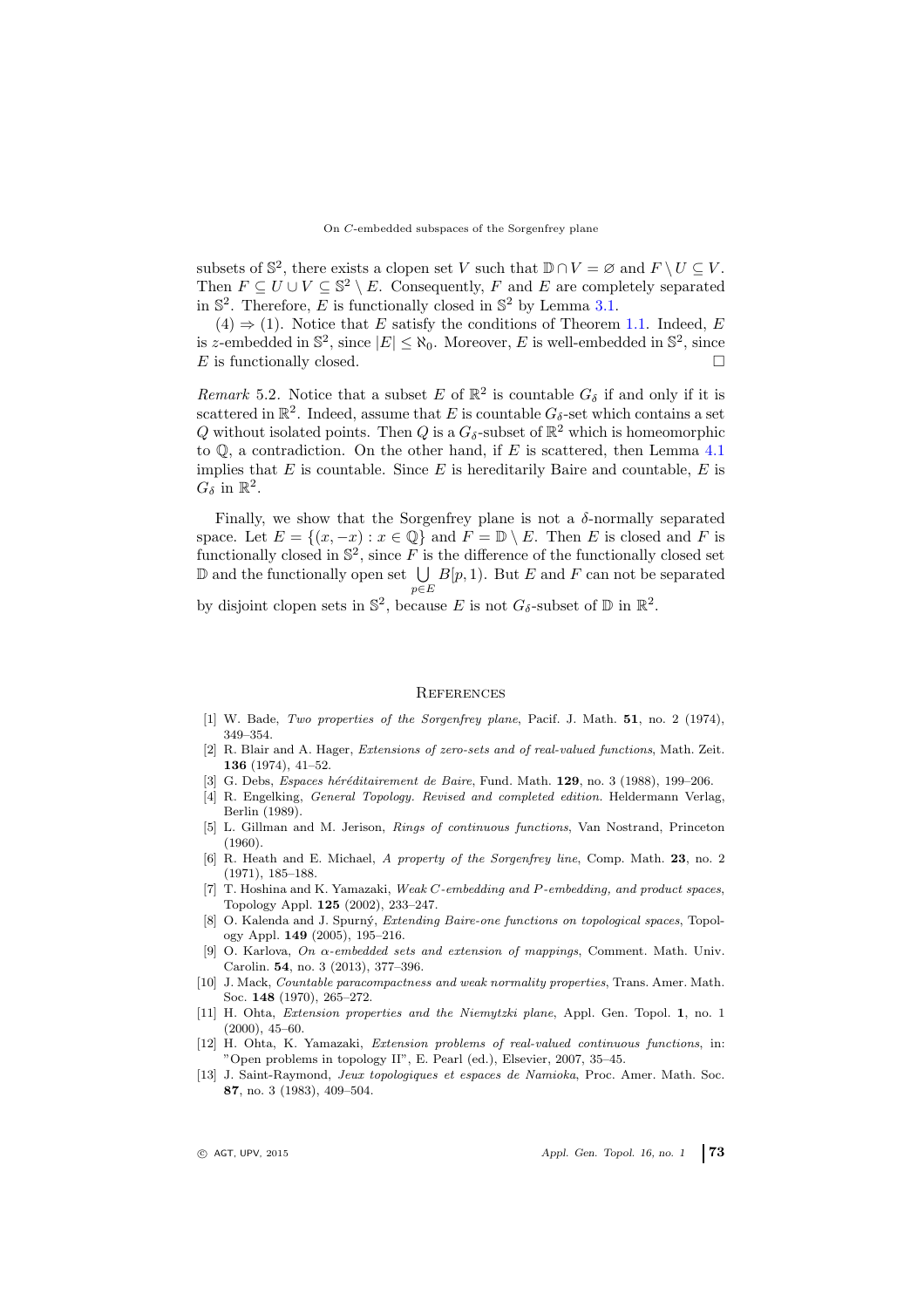subsets of  $\mathbb{S}^2$ , there exists a clopen set V such that  $\mathbb{D} \cap V = \emptyset$  and  $F \setminus U \subseteq V$ . Then  $F \subseteq U \cup V \subseteq \mathbb{S}^2 \setminus E$ . Consequently, F and E are completely separated in  $\mathbb{S}^2$ . Therefore, E is functionally closed in  $\mathbb{S}^2$  by Lemma [3.1.](#page-4-4)

 $(4) \Rightarrow (1)$ . Notice that E satisfy the conditions of Theorem [1.1.](#page-1-0) Indeed, E is z-embedded in  $\mathbb{S}^2$ , since  $|E| \le \aleph_0$ . Moreover, E is well-embedded in  $\mathbb{S}^2$ , since E is functionally closed.

Remark 5.2. Notice that a subset E of  $\mathbb{R}^2$  is countable  $G_{\delta}$  if and only if it is scattered in  $\mathbb{R}^2$ . Indeed, assume that E is countable  $G_{\delta}$ -set which contains a set Q without isolated points. Then Q is a  $G_{\delta}$ -subset of  $\mathbb{R}^2$  which is homeomorphic to  $\mathbb{Q}$ , a contradiction. On the other hand, if E is scattered, then Lemma [4.1](#page-5-2) implies that  $E$  is countable. Since  $E$  is hereditarily Baire and countable,  $E$  is  $G_{\delta}$  in  $\mathbb{R}^2$ .

Finally, we show that the Sorgenfrey plane is not a  $\delta$ -normally separated space. Let  $E = \{(x, -x) : x \in \mathbb{Q}\}\$ and  $F = \mathbb{D} \setminus E$ . Then E is closed and F is functionally closed in  $\mathbb{S}^2$ , since F is the difference of the functionally closed set  $\mathbb D$  and the functionally open set  $\bigcup B[p, 1]$ . But E and F can not be separated  $p \in E$ 

by disjoint clopen sets in  $\mathbb{S}^2$ , because E is not  $G_{\delta}$ -subset of  $\mathbb{D}$  in  $\mathbb{R}^2$ .

### <span id="page-8-0"></span>**REFERENCES**

- <span id="page-8-9"></span>[1] W. Bade, Two properties of the Sorgenfrey plane, Pacif. J. Math. 51, no. 2 (1974), 349–354.
- <span id="page-8-5"></span>[2] R. Blair and A. Hager, Extensions of zero-sets and of real-valued functions, Math. Zeit. 136 (1974), 41–52.
- <span id="page-8-11"></span><span id="page-8-2"></span>[3] G. Debs, *Espaces héréditairement de Baire*, Fund. Math.  $129$ , no. 3 (1988), 199–206.
- [4] R. Engelking, General Topology. Revised and completed edition. Heldermann Verlag, Berlin (1989).
- <span id="page-8-10"></span>[5] L. Gillman and M. Jerison, Rings of continuous functions, Van Nostrand, Princeton (1960).
- <span id="page-8-12"></span>[6] R. Heath and E. Michael, A property of the Sorgenfrey line, Comp. Math. 23, no. 2 (1971), 185–188.
- <span id="page-8-1"></span>[7] T. Hoshina and K. Yamazaki, Weak C-embedding and P-embedding, and product spaces, Topology Appl. 125 (2002), 233–247.
- <span id="page-8-13"></span>[8] O. Kalenda and J. Spurný, *Extending Baire-one functions on topological spaces*, Topology Appl. 149 (2005), 195–216.
- <span id="page-8-4"></span>[9] O. Karlova, On  $\alpha$ -embedded sets and extension of mappings, Comment. Math. Univ. Carolin. 54, no. 3 (2013), 377–396.
- <span id="page-8-6"></span>[10] J. Mack, Countable paracompactness and weak normality properties, Trans. Amer. Math. Soc. 148 (1970), 265–272.
- <span id="page-8-3"></span>[11] H. Ohta, Extension properties and the Niemytzki plane, Appl. Gen. Topol. 1, no. 1 (2000), 45–60.
- <span id="page-8-7"></span>[12] H. Ohta, K. Yamazaki, Extension problems of real-valued continuous functions, in: "Open problems in topology II", E. Pearl (ed.), Elsevier, 2007, 35–45.
- <span id="page-8-8"></span>[13] J. Saint-Raymond, Jeux topologiques et espaces de Namioka, Proc. Amer. Math. Soc. 87, no. 3 (1983), 409–504.